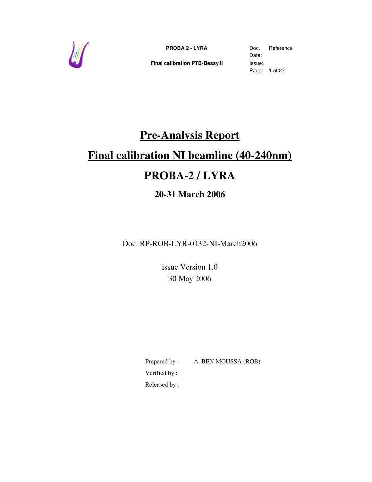

**Final calibration PTB-Bessy II** Issue:

Date: Page: 1 of 27

# **Pre-Analysis Report**

# **Final calibration NI beamline (40-240nm)**

# **PROBA-2 / LYRA**

## **20-31 March 2006**

Doc. RP-ROB-LYR-0132-NI-March2006

issue Version 1.0 30 May 2006

Prepared by : A. BEN MOUSSA (ROB) Verified by :

Released by :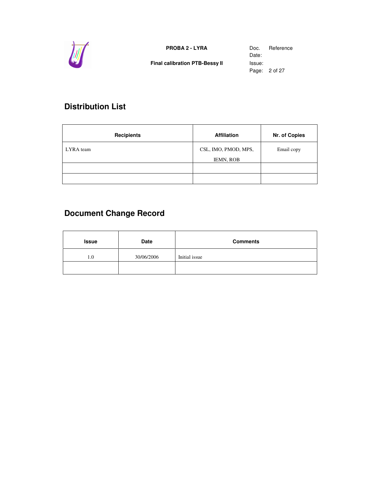

**Final calibration PTB-Bessy II** Issue:

Date: Page: 2 of 27

## **Distribution List**

| <b>Recipients</b> | <b>Affiliation</b>                       | Nr. of Copies |
|-------------------|------------------------------------------|---------------|
| LYRA team         | CSL, IMO, PMOD, MPS,<br><b>IEMN, ROB</b> | Email copy    |
|                   |                                          |               |
|                   |                                          |               |

## **Document Change Record**

| <b>Issue</b> | Date       | <b>Comments</b> |
|--------------|------------|-----------------|
| 1.0          | 30/06/2006 | Initial issue   |
|              |            |                 |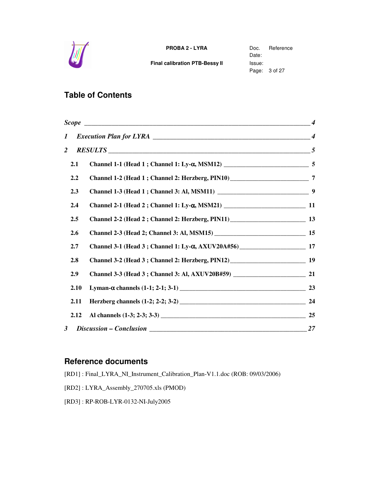

**Final calibration PTB-Bessy II** Issue:

Date: Page: 3 of 27

## **Table of Contents**

| Scope $\qquad \qquad \qquad \qquad 4$ |  |    |
|---------------------------------------|--|----|
| 1                                     |  |    |
| $\overline{2}$                        |  |    |
| 2.1                                   |  |    |
| 2.2                                   |  |    |
| 2.3                                   |  |    |
| 2.4                                   |  |    |
| 2.5                                   |  |    |
| 2.6                                   |  |    |
| 2.7                                   |  |    |
| 2.8                                   |  |    |
| 2.9                                   |  |    |
| 2.10                                  |  |    |
| 2.11                                  |  | 24 |
| 2.12                                  |  |    |
| $\overline{\mathbf{3}}$               |  |    |

### **Reference documents**

[RD1] : Final\_LYRA\_NI\_Instrument\_Calibration\_Plan-V1.1.doc (ROB: 09/03/2006)

- [RD2] : LYRA\_Assembly\_270705.xls (PMOD)
- [RD3] : RP-ROB-LYR-0132-NI-July2005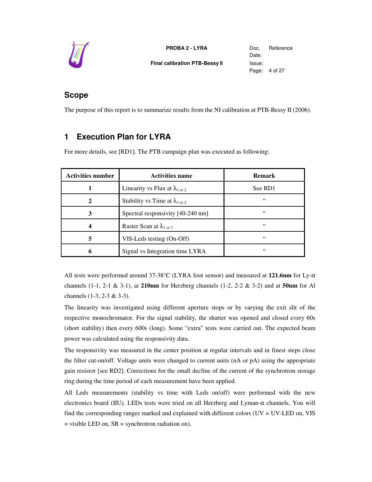

**PROBA 2 - LYRA** Doc. Reference **Final calibration PTB-Bessy II** Issue:

Date: Page: 4 of 27

## **Scope**

The purpose of this report is to summarize results from the NI calibration at PTB-Bessy II (2006).

## **1 Execution Plan for LYRA**

For more details, see [RD1]. The PTB campaign plan was executed as following:

| <b>Activities number</b> | <b>Activities name</b>                           | <b>Remark</b> |
|--------------------------|--------------------------------------------------|---------------|
|                          | Linearity vs Flux at $\lambda_{1 \text{ or } 2}$ | See RD1       |
| $\mathbf 2$              | Stability vs Time at $\lambda_{1 \text{ or } 2}$ | 66            |
| 3                        | Spectral responsivity [40-240 nm]                | 66            |
| 4                        | Raster Scan at $\lambda_{1 \text{ or } 2}$       | 66            |
| 5                        | VIS-Leds testing (On-Off)                        | 66            |
| h                        | Signal vs Integration time LYRA                  | 66            |

All tests were performed around 37-38°C (LYRA foot sensor) and measured at **121.6nm** for Ly-α channels (1-1, 2-1 & 3-1), at **210nm** for Herzberg channels (1-2, 2-2 & 3-2) and at **50nm** for Al channels (1-3, 2-3 & 3-3).

The linearity was investigated using different aperture stops or by varying the exit slit of the respective monochromator. For the signal stability, the shutter was opened and closed every 60s (short stability) then every 600s (long). Some "extra" tests were carried out. The expected beam power was calculated using the responsivity data.

The responsivity was measured in the center position at regular intervals and in finest steps close the filter cut-on/off. Voltage units were changed to current units (nA or pA) using the appropriate gain resistor [see RD2]. Corrections for the small decline of the current of the synchrotron storage ring during the time period of each measurement have been applied.

All Leds measurements (stability vs time with Leds on/off) were performed with the new electronics board (IIU). LEDs tests were tried on all Herzberg and Lyman-α channels. You will find the corresponding ranges marked and explained with different colors (UV = UV-LED on, VIS  $=$  visible LED on,  $SR =$  synchrotron radiation on).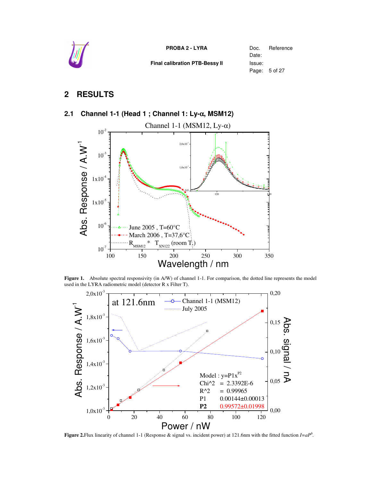

Date: Page: 5 of 27

## **2 RESULTS**

#### **2.1 Channel 1-1 (Head 1 ; Channel 1: Ly-**α**, MSM12)**



Figure 1. Absolute spectral responsivity (in A/W) of channel 1-1. For comparison, the dotted line represents the model used in the LYRA radiometric model (detector R x Filter T).



**Figure** 2. Flux linearity of channel 1-1 (Response & signal vs. incident power) at 121.6nm with the fitted function  $I=aP^b$ .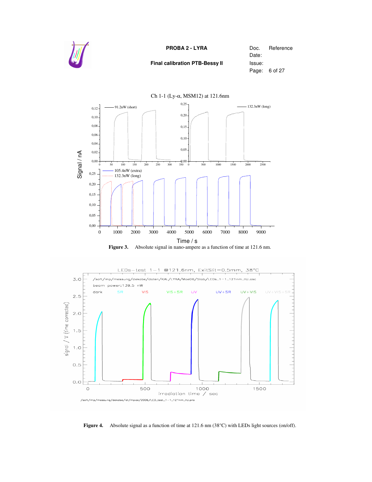







**Figure 4.** Absolute signal as a function of time at 121.6 nm (38°C) with LEDs light sources (on/off).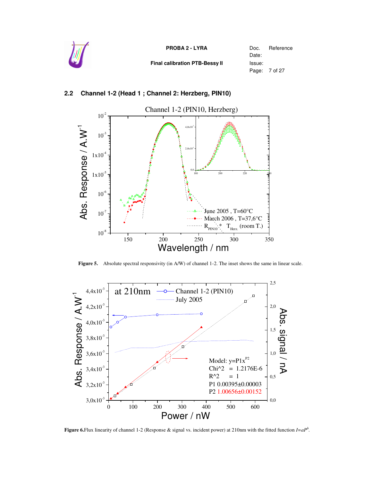

**Final calibration PTB-Bessy II** Issue:

Date: Page: 7 of 27

#### **2.2 Channel 1-2 (Head 1 ; Channel 2: Herzberg, PIN10)**



**Figure 5.** Absolute spectral responsivity (in A/W) of channel 1-2. The inset shows the same in linear scale.



**Figure 6.**Flux linearity of channel 1-2 (Response & signal vs. incident power) at 210nm with the fitted function  $I=aP^b$ .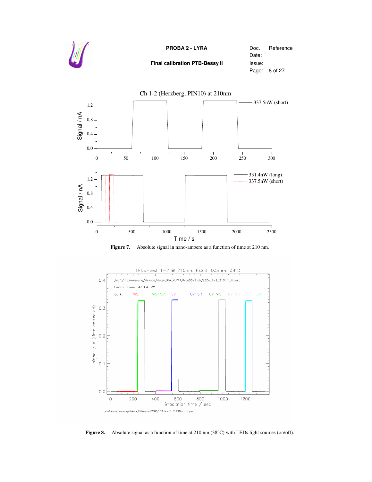







**Figure 8.** Absolute signal as a function of time at 210 nm (38°C) with LEDs light sources (on/off).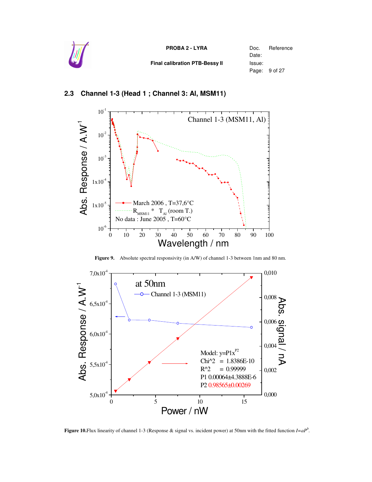

#### **2.3 Channel 1-3 (Head 1 ; Channel 3: Al, MSM11)**



**Figure 9.** Absolute spectral responsivity (in A/W) of channel 1-3 between 1nm and 80 nm.



**Figure 10.**Flux linearity of channel 1-3 (Response & signal vs. incident power) at 50nm with the fitted function  $I=aP^b$ .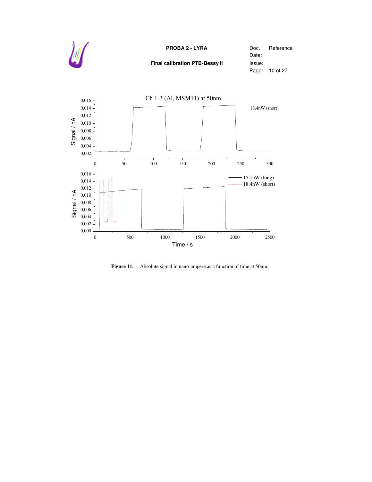



**Figure 11.** Absolute signal in nano-ampere as a function of time at 50nm.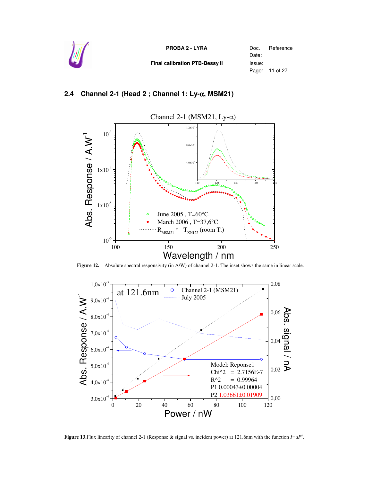

#### **2.4 Channel 2-1 (Head 2 ; Channel 1: Ly-**α**, MSM21)**



**Figure 12.** Absolute spectral responsivity (in A/W) of channel 2-1. The inset shows the same in linear scale.



**Figure 13.**Flux linearity of channel 2-1 (Response & signal vs. incident power) at 121.6nm with the function  $I=aP^b$ .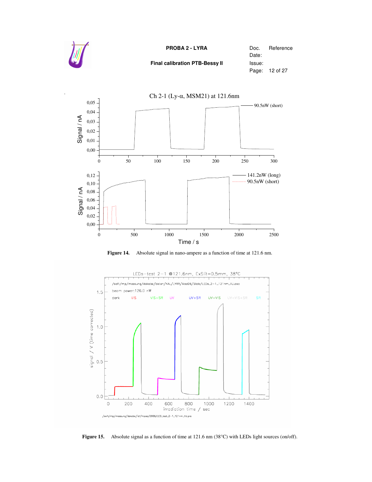

*.*

#### **PROBA 2 - LYRA** Doc. Reference

**Final calibration PTB-Bessy II** Issue:

Date: Page: 12 of 27







**Figure 15.** Absolute signal as a function of time at 121.6 nm (38°C) with LEDs light sources (on/off).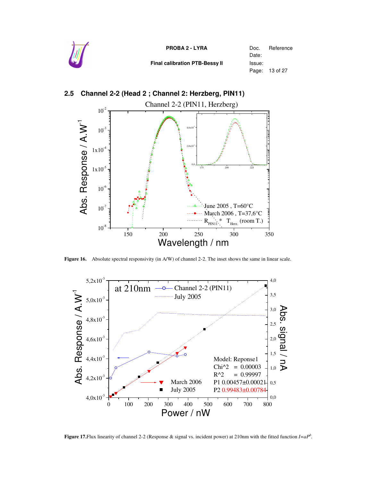



#### **2.5 Channel 2-2 (Head 2 ; Channel 2: Herzberg, PIN11)**

**Figure 16.** Absolute spectral responsivity (in A/W) of channel 2-2. The inset shows the same in linear scale.



**Figure 17.**Flux linearity of channel 2-2 (Response & signal vs. incident power) at 210nm with the fitted function  $I=aP^b$ .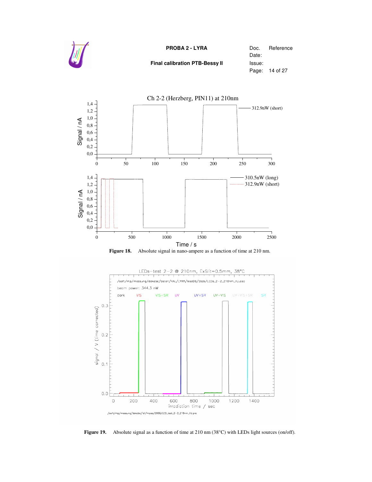

**Final calibration PTB-Bessy II** Issue:

Date: Page: 14 of 27





**Figure 19.** Absolute signal as a function of time at 210 nm (38°C) with LEDs light sources (on/off).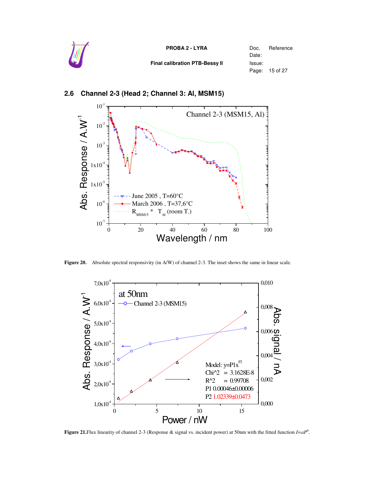| W | <b>PROBA 2 - LYRA</b>          | Doc.<br>Date: | Reference      |
|---|--------------------------------|---------------|----------------|
|   | Final calibration PTB-Bessy II | Issue:        | Page: 15 of 27 |



#### **2.6 Channel 2-3 (Head 2; Channel 3: Al, MSM15)**

**Figure 20.** Absolute spectral responsivity (in A/W) of channel 2-3. The inset shows the same in linear scale.



**Figure** 21. Flux linearity of channel 2-3 (Response & signal vs. incident power) at 50nm with the fitted function  $I=aP^b$ .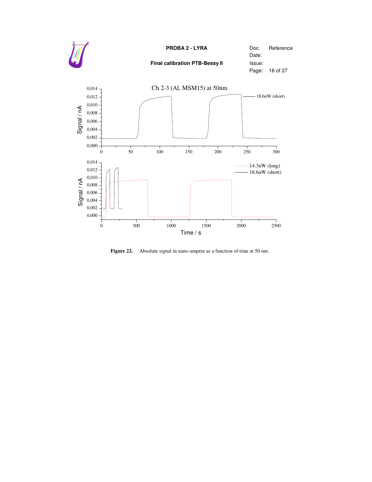

**Figure 22.** Absolute signal in nano-ampere as a function of time at 50 nm.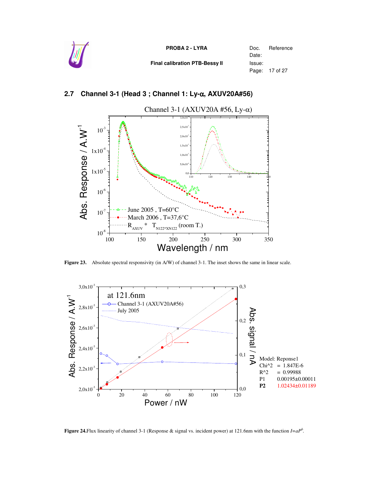

#### **2.7 Channel 3-1 (Head 3 ; Channel 1: Ly-**α**, AXUV20A#56)**



**Figure 23.** Absolute spectral responsivity (in A/W) of channel 3-1. The inset shows the same in linear scale.



**Figure 24.**Flux linearity of channel 3-1 (Response & signal vs. incident power) at 121.6nm with the function  $I=aP^b$ .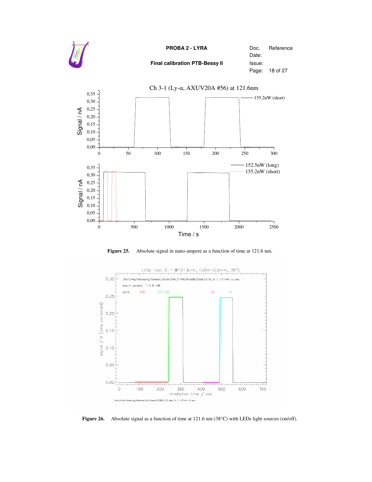







Figure 26. Absolute signal as a function of time at 121.6 nm (38°C) with LEDs light sources (on/off).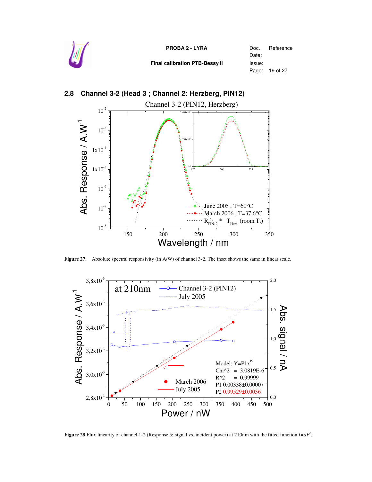



#### **2.8 Channel 3-2 (Head 3 ; Channel 2: Herzberg, PIN12)**

**Figure 27.** Absolute spectral responsivity (in A/W) of channel 3-2. The inset shows the same in linear scale.



**Figure 28.**Flux linearity of channel 1-2 (Response & signal vs. incident power) at 210nm with the fitted function  $I=aP^b$ .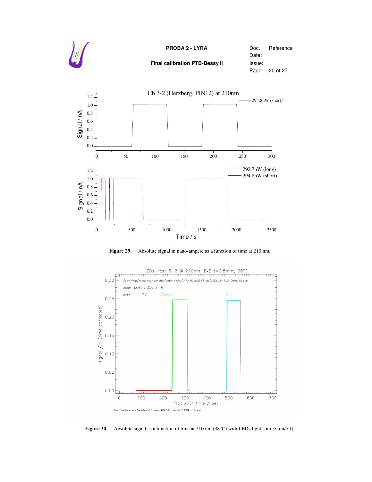







**Figure 30.** Absolute signal as a function of time at 210 nm (38°C) with LEDs light source (on/off).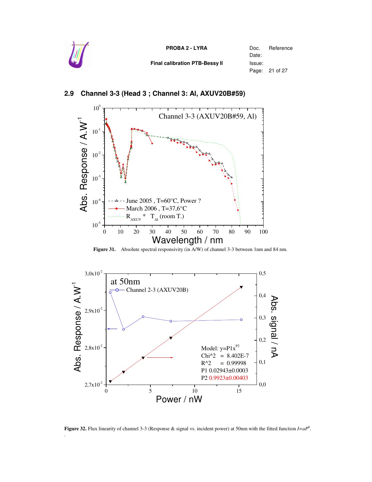



#### **2.9 Channel 3-3 (Head 3 ; Channel 3: Al, AXUV20B#59)**

**Figure 31.** Absolute spectral responsivity (in A/W) of channel 3-3 between 1nm and 84 nm.



**Figure 32.** Flux linearity of channel 3-3 (Response & signal vs. incident power) at 50nm with the fitted function  $I=aP^b$ .

*.*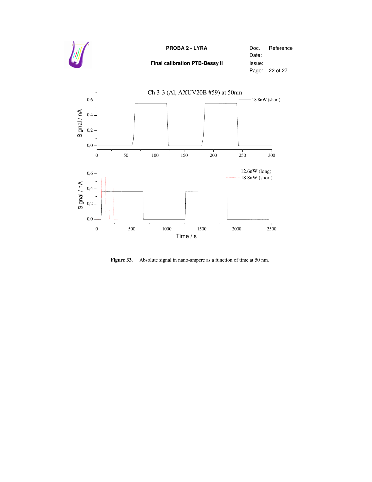



**Figure 33.** Absolute signal in nano-ampere as a function of time at 50 nm.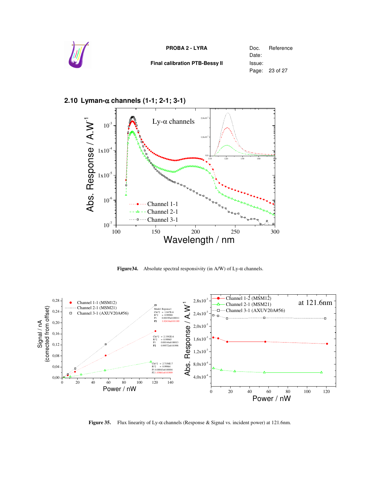



#### **2.10 Lyman-**α **channels (1-1; 2-1; 3-1)**

**Figure34.** Absolute spectral responsivity (in A/W) of Ly-α channels.



**Figure 35.** Flux linearity of Ly-α channels (Response & Signal vs. incident power) at 121.6nm.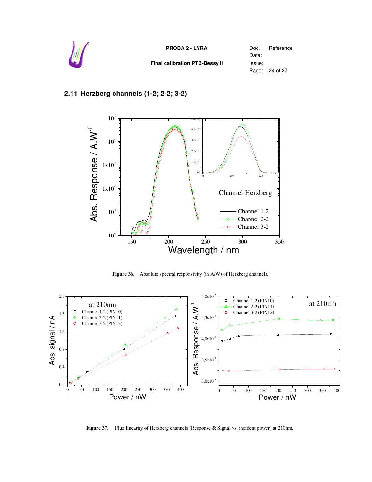

#### **2.11 Herzberg channels (1-2; 2-2; 3-2)**



Figure 36. Absolute spectral responsivity (in A/W) of Herzberg channels.



**Figure 37.** Flux linearity of Herzberg channels (Response & Signal vs. incident power) at 210nm.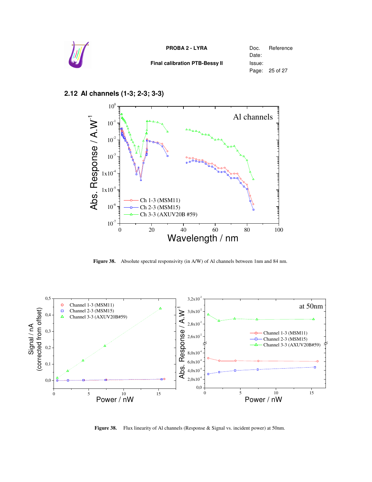

#### **2.12 Al channels (1-3; 2-3; 3-3)**



**Figure 38.** Absolute spectral responsivity (in A/W) of Al channels between 1nm and 84 nm.



Figure 38. Flux linearity of Al channels (Response & Signal vs. incident power) at 50nm.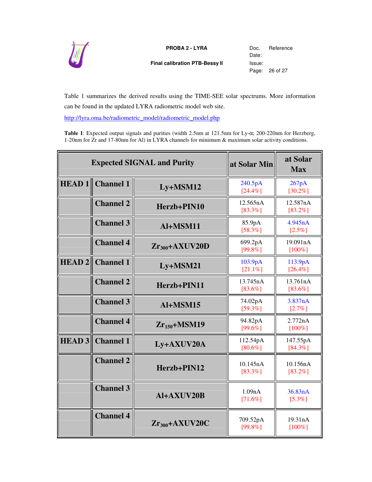

**Final calibration PTB-Bessy II** Issue:

Date: Page: 26 of 27

Table 1 summarizes the derived results using the TIME-SEE solar spectrums. More information can be found in the updated LYRA radiometric model web site.

http://lyra.oma.be/radiometric\_model/radiometric\_model.php

**Table 1**: Expected output signals and purities (width 2.5nm at 121.5nm for Ly-α; 200-220nm for Herzberg, 1-20nm for Zr and 17-80nm for Al) in LYRA channels for minimum & maximum solar activity conditions.

| <b>Expected SIGNAL and Purity</b> |                  | at Solar Min       | at Solar<br><b>Max</b> |                        |
|-----------------------------------|------------------|--------------------|------------------------|------------------------|
| HEAD1                             | <b>Channel 1</b> | $Ly+MSM12$         | 240.5pA<br>[24.4%]     | 267pA<br>$[30.2\%]$    |
|                                   | <b>Channel 2</b> | Herzb+PIN10        | 12.565nA<br>$[83.3\%]$ | 12.587nA<br>$[83.2\%]$ |
|                                   | <b>Channel 3</b> | Al+MSM11           | 85.9pA<br>$[58.3\%]$   | 4.945nA<br>$[2.5\%]$   |
|                                   | <b>Channel 4</b> | $Zr_{300}+AXUV20D$ | 699.2pA<br>[99.8%]     | 19.091nA<br>$[100\%]$  |
| HEAD2                             | <b>Channel 1</b> | $Ly+MSM21$         | 103.9pA<br>$[21.1\%]$  | 113.9pA<br>$[26.4\%]$  |
|                                   | <b>Channel 2</b> | Herzb+PIN11        | 13.745nA<br>[83.6%]    | 13.761nA<br>$[83.6\%]$ |
|                                   | <b>Channel 3</b> | Al+MSM15           | 74.02pA<br>$[59.3\%]$  | 3.837nA<br>$[2.7\%]$   |
|                                   | <b>Channel 4</b> | $Zr_{150}+MSM19$   | 94.82pA<br>[99.6%]     | 2.772nA<br>$[100\%]$   |
| <b>HEAD 3</b>                     | <b>Channel 1</b> | Ly+AXUV20A         | 112.54pA<br>$[80.6\%]$ | 147.55pA<br>$[84.3\%]$ |
|                                   | <b>Channel 2</b> | Herzb+PIN12        | 10.145nA<br>$[83.3\%]$ | 10.156nA<br>$[83.2\%]$ |
|                                   | <b>Channel 3</b> | Al+AXUV20B         | 1.09nA<br>$[71.6\%]$   | 36.83nA<br>$[5.3\%]$   |
|                                   | <b>Channel 4</b> | $Zr_{300}+AXUV20C$ | 709.52pA<br>[99.8%]    | 19.31nA<br>$[100\%]$   |